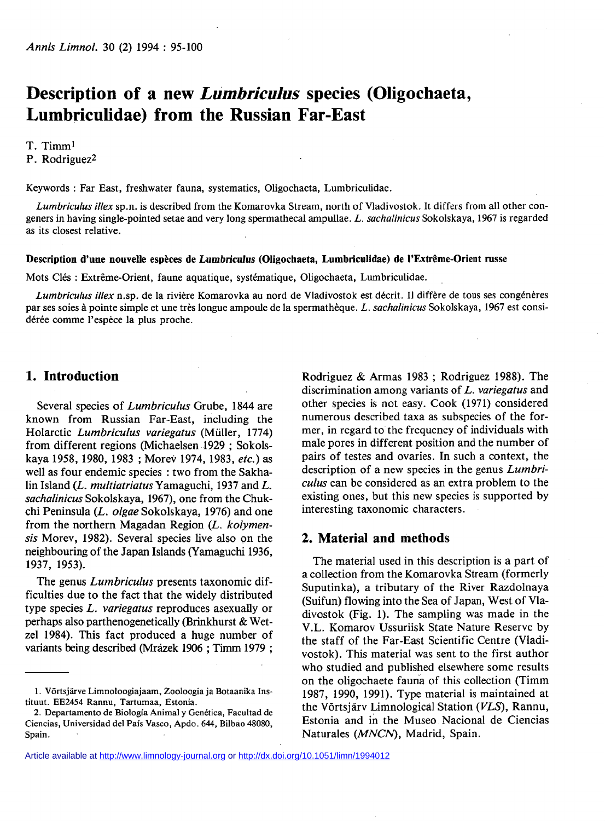# **Description of a new** *Lumbriculus* **species (Oligochaeta, Lumbriculidae) from the Russian Far-East**

T. Timm<sup>1</sup>

P. Rodriguez<sup>2</sup>

Keywords : Far East, freshwater fauna, systematics, Oligochaeta, Lumbriculidae.

*Lumbriculus illex* sp.n. is described from the Komarovka Stream, north of Vladivostok. It differs from all other congeners in having single-pointed setae and very long spermathecal ampullae. *L. sachalinicus* Sokolskaya, 1967 is regarded as its closest relative.

#### **Description d'une nouvelle espèces de** *Lumbriculus* **(Oligochaeta, Lumbriculidae) de l'Extrême-Orient russe**

Mots Clés : Extrême-Orient, faune aquatique, systématique, Oligochaeta, Lumbriculidae.

*Lumbriculus illex* n.sp. de la rivière Komarovka au nord de Vladivostok est décrit. Il diffère de tous ses congénères par ses soies à pointe simple et une très longue ampoule de la spermathèque. *L. sachalinicus* Sokolskaya, 1967 est considérée comme l'espèce la plus proche.

## **1. Introduction**

Several species of *Lumbriculus* Grube, 1844 are known from Russian Far-East, including the Holarctic *Lumbriculus variegatus* (Midler, 1774) from different regions (Michaelsen 1929 ; Sokolskaya 1958, 1980, 1983 ; Morev 1974, 1983, *etc.)* as well as four endemic species : two from the Sakhalin Island (L. multiatriatus Yamaguchi, 1937 and L. *sachalinicus* Sokolskaya, 1967), one from the Chukchi Peninsula *(L. olgae* Sokolskaya, 1976) and one from the northern Magadan Region *(L. kolymensis* Morev, 1982). Several species live also on the neighbouring of the Japan Islands (Yamaguchi 1936, 1937, 1953).

The genus *Lumbriculus* presents taxonomic difficulties due to the fact that the widely distributed type species *L. variegatus* reproduces asexually or perhaps also parthenogenetically (Brinkhurst & Wetzel 1984). This fact produced a huge number of variants being described (Mrázek 1906 ; Timm 1979 ; Rodriguez & Armas 1983; Rodriguez 1988). The discrimination among variants of *L. variegatus* and other species is not easy. Cook (1971) considered numerous described taxa as subspecies of the former, in regard to the frequency of individuals with male pores in different position and the number of pairs of testes and ovaries. In such a context, the description of a new species in the genus *Lumbriculus* can be considered as an extra problem to the existing ones, but this new species is supported by interesting taxonomic characters.

## **<sup>2</sup> . Material and methods**

The material used in this description is a part of a collection from the Komarovka Stream (formerly Suputinka), a tributary of the River Razdolnaya (Suifun) flowing into the Sea of Japan, West of Vladivostok (Fig. 1). The sampling was made in the V.L. Komarov Ussuriisk State Nature Reserve by the staff of the Far-East Scientific Centre (Vladivostok). This material was sent to the first author who studied and published elsewhere some results on the oligochaete fauna of this collection (Timm 1987, 1990, 1991). Type material is maintained at the Vôrtsjàrv Limnologicál Station *(VLS),* Rannu , Estonia and in the Museo Nacional de Ciencias Naturales *(MNCN),* Madrid, Spain.

**<sup>1.</sup> Vôrtsjàrve Limnoloogiajaam, Zooloogia ja Botaanika Instituut. EE2454 Rannu, Tartumaa, Estonia.** 

**<sup>2.</sup> Departamento de Biología Animal y Genética, Facultad de Ciencias, Universidad del País Vasco, Apdo. 644, Bilbao 48080, Spain.** 

Article available at <http://www.limnology-journal.org>or<http://dx.doi.org/10.1051/limn/1994012>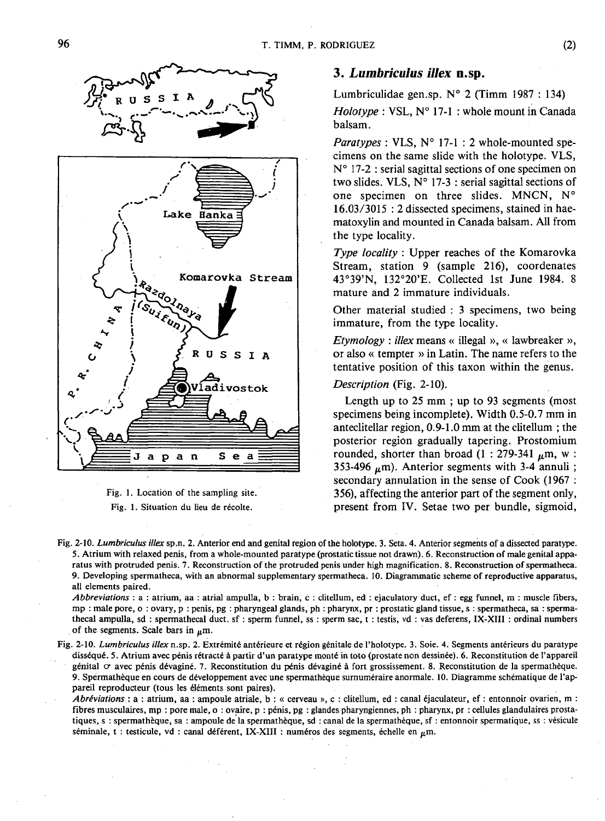

**Fig. 1. Location of the sampling site. Fig. 1. Situation du lieu de récolte.** 

### **<sup>3</sup> .** *Lumbrículus illex* **n.sp.**

Lumbriculidae gen.sp. N° 2 (Timm 1987 : 134)

*Holotype* : VSL, N° 17-1 : whole mount in Canada balsam.

*Paratypes* : VLS,  $N^{\circ}$  17-1 : 2 whole-mounted specimens on the same slide with the holotype. VLS, N° 17-2 : serial sagittal sections of one specimen on two slides. VLS, N° 17-3 : serial sagittal sections of one specimen on three slides. MNCN, N° 16.03/3015 : 2 dissected specimens, stained in haematoxylin and mounted in Canada balsam. All from the type locality.

*Type locality :* Upper reaches of the Komarovka Stream, station 9 (sample 216), coordenates 43°39'N, 132°20'E. Collected 1st June 1984. 8 mature and 2 immature individuals.

Other material studied : 3 specimens, two being immature, from the type locality.

*Etymology : illex* means « illegal », « lawbreaker », or also « tempter » in Latin. The name refers to the tentative position of this taxon within the genus.

## *Description* (Fig. 2-10).

Length up to 25 mm ; up to 93 segments (most specimens being incomplete). Width 0.5-0.7 mm in anteclitellar region, 0.9-1.0 mm at the clitellum ; the posterior region gradually tapering. Prostomium rounded, shorter than broad (1 : 279-341  $\mu$ m, w : 353-496  $<sub>µ</sub>$ m). Anterior segments with 3-4 annuli;</sub> secondary annulation in the sense of Cook (1967 : 356), affecting the anterior part of the segment only, present from IV. Setae two per bundle, sigmoid,

**Fig. 2-10.** *Lumbrículus illex* **sp.n. 2. Anterior end and genital region of the holotype. 3. Seta. 4. Anterior segments of a dissected paratype. 5. Atrium with relaxed penis, from a whole-mounted paratype (prostatic tissue not drawn). 6. Reconstruction of male genital apparatus with protruded penis. 7. Reconstruction of the protruded penis under high magnification. 8. Reconstruction of spermatheca. 9. Developing spermatheca, with an abnormal supplementary spermatheca. 10. Diagrammatic scheme of reproductive apparatus, all elements paired.** 

*Abbreviations* **: a : atrium, aa : atrial ampulla, b : brain, c : clitellum, ed : ejaculatory duct, ef : egg funnel, m : muscle fibers, mp : male pore, o : ovary, p : penis, pg : pharyngeal glands, ph : pharynx, pr : prostatic gland tissue, s : spermatheca, sa : spermathecal ampulla, sd : spermathecal duct, sf : sperm funnel, ss : sperm sac, t : testis, vd : vas deferens, IX-XHI : ordinal numbers**  of the segments. Scale bars in  $_{\mu}$ m.

**Fig. 2-10.** *Lumbrículus illex* **n.sp. 2. Extrémité antérieure et région génitale de l'holotype. 3. Soie. 4. Segments antérieurs du paratype disséqué. 5. Atrium avec pénis rétracté à partir d'un paratype monté in toto (prostate non dessinée). 6. Reconstitution de l'appareil génital o" avec pénis dévaginé. 7. Reconstitution du pénis dévaginé à fort grossissement. 8. Reconstitution de la spermathèque. 9. Spermathèque en cours de développement avec une spermathèque surnuméraire anormale. 10. Diagramme schématique de l'appareil reproducteur (tous les éléments sont paires).** 

*Abréviations :* **a : atrium, aa : ampoule atriale, b : « cerveau », c : clitellum, ed : canal éjaculateur, ef : entonnoir ovarien, m : fibres musculaires, mp : pore maie, o : ovaire, p : pénis, pg : glandes pharyngiennes, ph : pharynx, pr : cellules glandulaires prostatiques, s : spermathèque, sa : ampoule de la spermathèque, sd : canal de la spermathèque, sf : entonnoir spermatique, ss : vésicule**  séminale, t : testicule, vd : canal déférent, IX-XIII : numéros des segments, échelle en  $\mu$ m.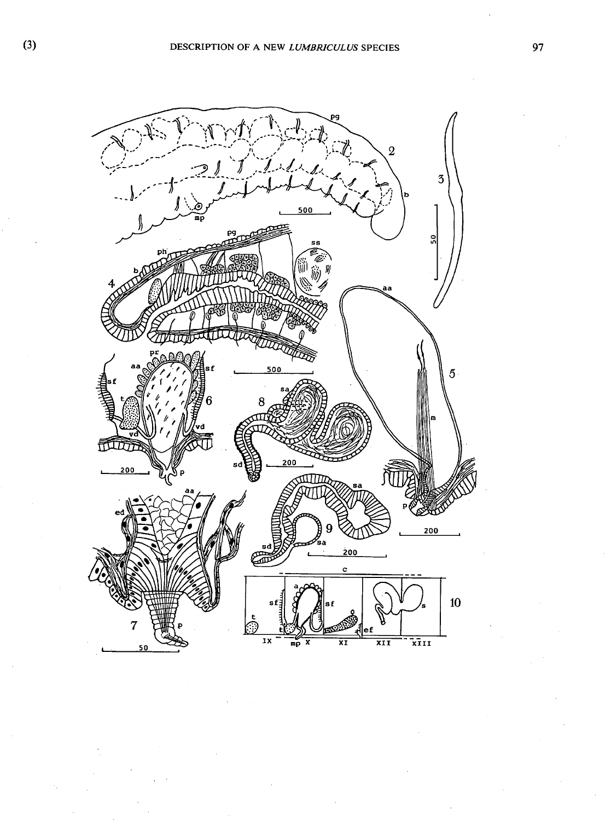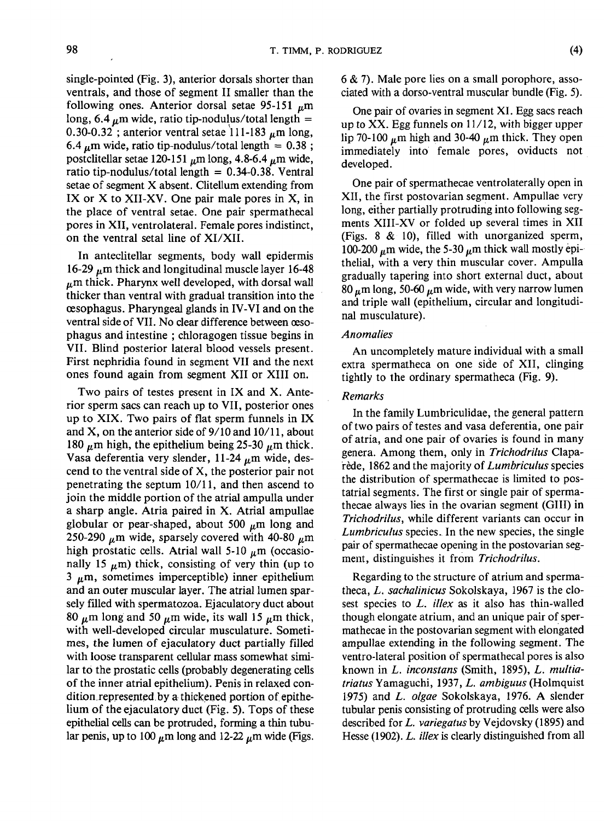single-pointed (Fig. 3), anterior dorsals shorter than ventrals, and those of segment II smaller than the following ones. Anterior dorsal setae 95-151  $\mu$ m long, 6.4  $\mu$ m wide, ratio tip-nodulus/total length = 0.30-0.32 ; anterior ventral setae 111-183  $\mu$ m long, 6.4  $\mu$ m wide, ratio tip-nodulus/total length = 0.38; postclitellar setae 120-151  $\mu$ m long, 4.8-6.4  $\mu$ m wide, ratio tip-nodulus/total length =  $0.34-0.38$ . Ventral setae of segment X absent. Clitellum extending from IX or X to XII-XV. One pair male pores in X, in the place of ventral setae. One pair spermathecal pores in XII, ventrolateral. Female pores indistinct, on the ventral setal line of XI/XII.

In anteclitellar segments, body wall epidermis 16-29  $\mu$ m thick and longitudinal muscle layer 16-48  $\mu$ m thick. Pharynx well developed, with dorsal wall thicker than ventral with gradual transition into the oesophagus. Pharyngeal glands in IV-VI and on the ventral side of VII. No clear difference between oesophagus and intestine ; chloragogen tissue begins in VII. Blind posterior lateral blood vessels present. First nephridia found in segment VII and the next ones found again from segment XII or XIII on.

Two pairs of testes present in IX and X. Anterior sperm sacs can reach up to VII, posterior ones up to XIX. Two pairs of flat sperm funnels in IX and X, on the anterior side of  $9/10$  and  $10/11$ , about 180  $\mu$ m high, the epithelium being 25-30  $\mu$ m thick. Vasa deferentia very slender, 11-24  $\mu$ m wide, descend to the ventral side of X, the posterior pair not penetrating the septum 10/11, and then ascend to join the middle portion of the atrial ampulla under a sharp angle. Atria paired in X. Atrial ampullae globular or pear-shaped, about 500  $\mu$ m long and 250-290  $\mu$ m wide, sparsely covered with 40-80  $\mu$ m high prostatic cells. Atrial wall 5-10  $\mu$ m (occasionally 15  $\mu$ m) thick, consisting of very thin (up to  $3 \mu$ m, sometimes imperceptible) inner epithelium and an outer muscular layer. The atrial lumen sparsely filled with spermatozoa. Ejaculatory duct about 80  $\mu$ m long and 50  $\mu$ m wide, its wall 15  $\mu$ m thick, with well-developed circular musculature. Sometimes, the lumen of ejaculatory duct partially filled with loose transparent cellular mass somewhat similar to the prostatic cells (probably degenerating cells of the inner atrial epithelium). Penis in relaxed condition.represented.by a thickened portion of epithelium of the ejaculatory duct (Fig. 5). Tops of these epithelial cells can be protruded, forming a thin tubular penis, up to 100  $\mu$ m long and 12-22  $\mu$ m wide (Figs.

6 & 7). Male pore lies on a small porophore, associated with a dorso-ventral muscular bundle (Fig. 5).

One pair of ovaries in segment XI. Egg sacs reach up to XX. Egg funnels on  $11/12$ , with bigger upper lip 70-100  $\mu$ m high and 30-40  $\mu$ m thick. They open immediately into female pores, oviducts not developed.

One pair of spermathecae ventrolaterally open in XII, the first postovarian segment. Ampullae very long, either partially protruding into following segments XIII-XV or folded up several times in XII (Figs. 8 & 10), filled with unorganized sperm, 100-200  $\mu$ m wide, the 5-30  $\mu$ m thick wall mostly epithelial, with a very thin muscular cover. Ampulla gradually tapering into short external duct, about 80  $\mu$ m long, 50-60  $\mu$ m wide, with very narrow lumen and triple wall (epithelium, circular and longitudinal musculature).

#### *Anomalies*

An uncompletely mature individual with a small extra spermatheca on one side of XII, clinging tightly to the ordinary spermatheca (Fig. 9).

#### *Remarks*

In the family Lumbriculidae, the general pattern of two pairs of testes and vasa deferentia, one pair of atria, and one pair of ovaries is found in many genera. Among them, only in *Trichodrilus* Claparede, 1862 and the majority of *Lumbrículus* species the distribution of spermathecae is limited to postatrial segments. The first or single pair of spermathecae always lies in the ovarian segment (GUI) in *Trichodrilus,* while different variants can occur in *Lumbrículus* species. In the new species, the single pair of spermathecae opening in the postovarian segment, distinguishes it from *Trichodrilus.* 

Regarding to the structure of atrium and spermatheca, *L. sachalinicus* Sokolskaya, 1967 is the closest species to *L. illex* as it also has thin-walled though elongate atrium, and an unique pair of spermathecae in the postovarian segment with elongated ampullae extending in the following segment. The ventro-lateral position of spermathecal pores is also known in *L. inconstans* (Smith, 1895), *L. multiatriatus* Yamaguchi, 1937, *L. ambiguus* (Holmquist 1975) and *L. olgae* Sokolskaya, 1976. A slender tubular penis consisting of protruding cells were also described for *L. variegalus* by Vejdovsky (1895) and Hesse (1902). *L. illex* is clearly distinguished from all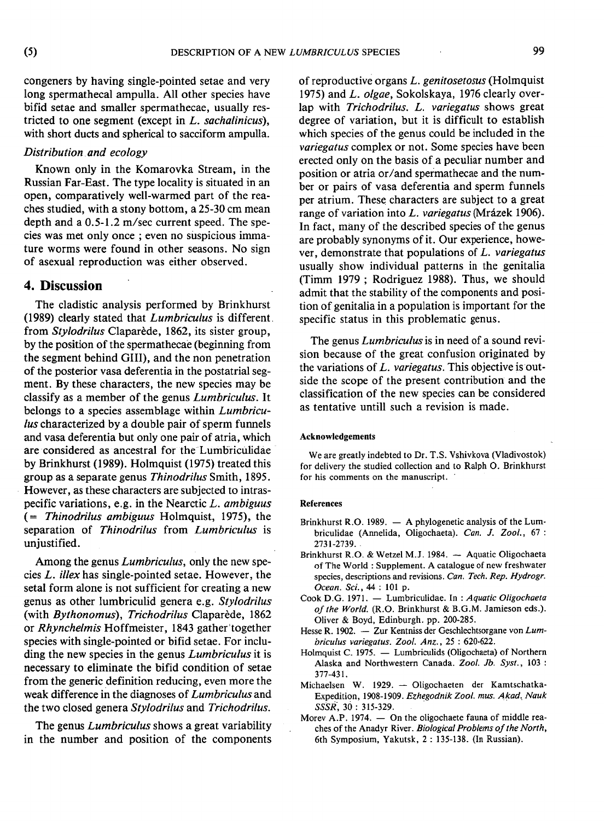congeners by having single-pointed setae and very long spermathecal ampulla. All other species have bifid setae and smaller spermathecae, usually restricted to one segment (except in *L. sachalinicus),*  with short ducts and spherical to sacciform ampulla.

#### *Distribution and ecology*

Known only in the Komarovka Stream, in the Russian Far-East. The type locality is situated in an open, comparatively well-warmed part of the reaches studied, with a stony bottom, a 25-30 cm mean depth and a  $0.5$ -1.2 m/sec current speed. The species was met only once ; even no suspicious immature worms were found in other seasons. No sign of asexual reproduction was either observed.

## **<sup>4</sup> . Discussion**

The cladistic analysis performed by Brinkhurst (1989) clearly stated that *Lumbriculus* is different from *Stylodrilus* Claparède, 1862, its sister group, by the position of the spermathecae (beginning from the segment behind GUI), and the non penetration of the posterior vasa deferentia in the postatrial segment. By these characters, the new species may be classify as a member of the genus *Lumbriculus.* It belongs to a species assemblage within *Lumbriculus* characterized by a double pair of sperm funnels and vasa deferentia but only one pair of atria, which are considered as ancestral for the Lumbriculidae by Brinkhurst (1989). Holmquist (1975) treated this group as a separate genus *Thinodrilus* Smith, 1895. However, as these characters are subjected to intraspecific variations, e.g. in the Nearctic *L. ambiguus (= Thinodrilus ambiguus* Holmquist, 1975), the separation of *Thinodrilus* from *Lumbriculus* is unjustified.

Among the genus *Lumbriculus,* only the new species *L. illex* has single-pointed setae. However, the setal form alone is not sufficient for creating a new genus as other lumbriculid genera e.g. *Stylodrilus*  (with *Bythonomus), Trichodrilus* Claparède, 1862 or *Rhynchelmis* Hoffmeister, 1843 gather together species with single-pointed or bifid setae. For including the new species in the genus *Lumbriculus* it is necessary to eliminate the bifid condition of setae from the generic definition reducing, even more the weak difference in the diagnoses of *Lumbriculus* and the two closed genera *Stylodrilus* and *Trichodrilus.* 

The genus *Lumbriculus* shows a great variability in the number and position of the components of reproductive organs *L. genitosetosus* (Holmquist 1975) and *L. olgae,* Sokolskaya, 1976 clearly overlap with *Trichodrilus. L. variegatus* shows great degree of variation, but it is difficult to establish which species of the genus could be included in the *variegatus* complex or not. Some species have been erected only on the basis of a peculiar number and position or atria or/and spermathecae and the number or pairs of vasa deferentia and sperm funnels per atrium. These characters are subject to a great range of variation into *L. variegatus* (Mrázek 1906). In fact, many of the described species of the genus are probably synonyms of it. Our experience, however, demonstrate that populations of *L. variegatus*  usually show individual patterns in the genitalia (Timm 1979 ; Rodriguez 1988). Thus, we should admit that the stability of the components and position of genitalia in a population is important for the specific status in this problematic genus.

The genus *Lumbriculus* is in need of a sound revision because of the great confusion originated by the variations of *L. variegatus.* This objective is outside the scope of the present contribution and the classification of the new species can be considered as tentative untill such a revision is made.

#### **Acknowledgements**

**We are greatly indebted to Dr. T.S. Vshivkova (Vladivostok) for delivery the studied collection and to Ralph O. Brinkhurst for his comments on the manuscript.** 

#### **References**

- **Brinkhurst R.O. 1989. A phylogenetic analysis of the Lumbriculidae (Annelida, Oligochaeta).** *Can. J. Zool.,* **67 : 2731-2739..**
- **Brinkhurst R.O. & Wetzel M.J. 1984. Aquatic Oligochaeta of The World : Supplement. A catalogue of new freshwater species, descriptions and revisions.** *Can. Tech. Rep. Hydrogr. Ocean. Sri.,* **44 : 101 p.**
- **CookD.G. 1971. Lumbriculidae. In** *: Aquatic Oligochaeta of the World.* **(R.O. Brinkhurst & B.G.M. Jamieson eds.). Oliver & Boyd, Edinburgh, pp. 200-285.**
- **Hesse R. 1902. Zur Kentniss der Geschlechtsorgane von** *Lumbriculus variegatus. Zool. Anz.,* **25 : 620-622.**
- **Holmquist C. 1975. Lumbriculids (Oligochaeta) of Northern Alaska and Northwestern Canada.** *Zool. Jb. Syst.,* **103 : 377-431.**
- **Michaelsen W. 1929. Oligochaeten der Kamtschatka-Expedition, 1908-1909.** *Ezhegodnik Zool. mus. Akad. Nauk SSSR,* **30 : 315-329.**
- **Morev A.P. 1974. On the oligochaete fauna of middle reaches of the Anadyr River.** *Biological Problems of the North,*  **6th Symposium, Yakutsk, 2 : 135-138. (In Russian).**